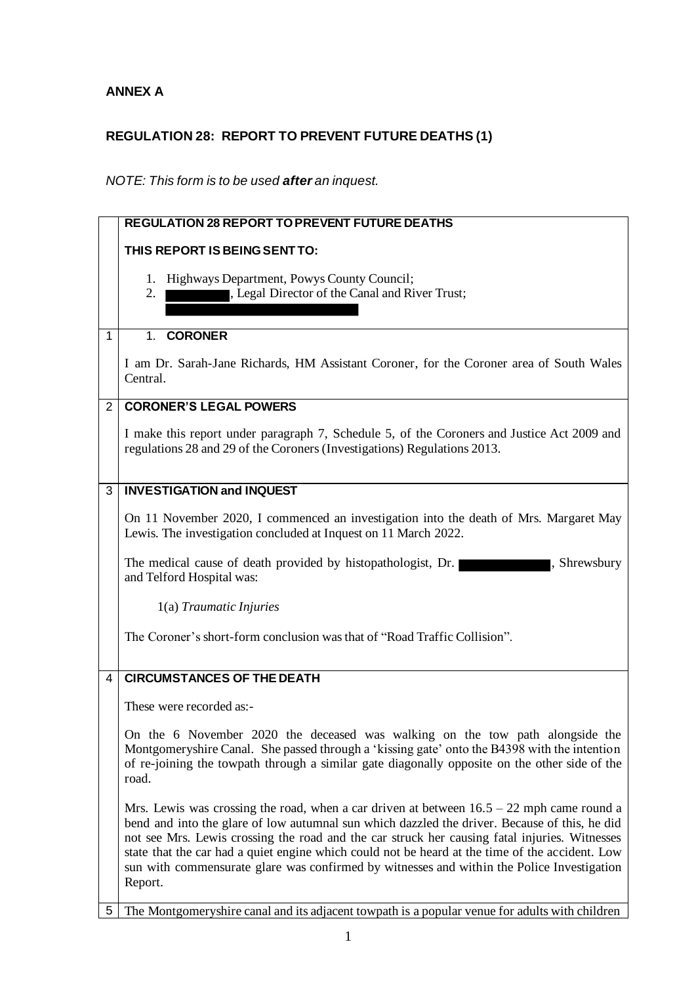## **ANNEX A**

## **REGULATION 28: REPORT TO PREVENT FUTURE DEATHS (1)**

## *NOTE: This form is to be used after an inquest.*

|             | <b>REGULATION 28 REPORT TO PREVENT FUTURE DEATHS</b>                                                                                                                                                                                                                                                                                                                                                                                                                                                      |
|-------------|-----------------------------------------------------------------------------------------------------------------------------------------------------------------------------------------------------------------------------------------------------------------------------------------------------------------------------------------------------------------------------------------------------------------------------------------------------------------------------------------------------------|
|             | THIS REPORT IS BEING SENT TO:                                                                                                                                                                                                                                                                                                                                                                                                                                                                             |
|             | Highways Department, Powys County Council;<br>1.<br>, Legal Director of the Canal and River Trust;<br>2.                                                                                                                                                                                                                                                                                                                                                                                                  |
| $\mathbf 1$ | 1. CORONER                                                                                                                                                                                                                                                                                                                                                                                                                                                                                                |
|             | I am Dr. Sarah-Jane Richards, HM Assistant Coroner, for the Coroner area of South Wales<br>Central.                                                                                                                                                                                                                                                                                                                                                                                                       |
| $2^{\circ}$ | <b>CORONER'S LEGAL POWERS</b>                                                                                                                                                                                                                                                                                                                                                                                                                                                                             |
|             | I make this report under paragraph 7, Schedule 5, of the Coroners and Justice Act 2009 and<br>regulations 28 and 29 of the Coroners (Investigations) Regulations 2013.                                                                                                                                                                                                                                                                                                                                    |
| 3           | <b>INVESTIGATION and INQUEST</b>                                                                                                                                                                                                                                                                                                                                                                                                                                                                          |
|             | On 11 November 2020, I commenced an investigation into the death of Mrs. Margaret May<br>Lewis. The investigation concluded at Inquest on 11 March 2022.                                                                                                                                                                                                                                                                                                                                                  |
|             | The medical cause of death provided by histopathologist, Dr.<br>, Shrewsbury<br>and Telford Hospital was:                                                                                                                                                                                                                                                                                                                                                                                                 |
|             | 1(a) Traumatic Injuries                                                                                                                                                                                                                                                                                                                                                                                                                                                                                   |
|             | The Coroner's short-form conclusion was that of "Road Traffic Collision".                                                                                                                                                                                                                                                                                                                                                                                                                                 |
| 4           | <b>CIRCUMSTANCES OF THE DEATH</b>                                                                                                                                                                                                                                                                                                                                                                                                                                                                         |
|             | These were recorded as:-                                                                                                                                                                                                                                                                                                                                                                                                                                                                                  |
|             | On the 6 November 2020 the deceased was walking on the tow path alongside the<br>Montgomeryshire Canal. She passed through a 'kissing gate' onto the B4398 with the intention<br>of re-joining the towpath through a similar gate diagonally opposite on the other side of the<br>road.                                                                                                                                                                                                                   |
|             | Mrs. Lewis was crossing the road, when a car driven at between $16.5 - 22$ mph came round a<br>bend and into the glare of low autumnal sun which dazzled the driver. Because of this, he did<br>not see Mrs. Lewis crossing the road and the car struck her causing fatal injuries. Witnesses<br>state that the car had a quiet engine which could not be heard at the time of the accident. Low<br>sun with commensurate glare was confirmed by witnesses and within the Police Investigation<br>Report. |
| 5           | The Montgomery shire canal and its adjacent towpath is a popular venue for adults with children                                                                                                                                                                                                                                                                                                                                                                                                           |